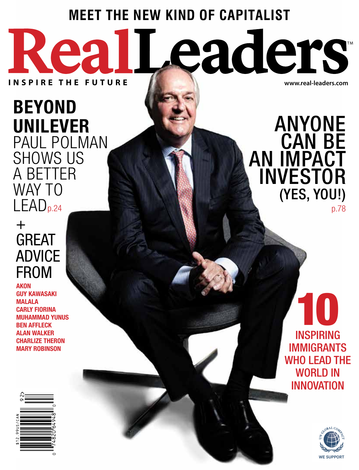# **MEET THE NEW KIND OF CAPITALIST**

**INSPIRE THE FUTURE www.real-leaders.com**

**Real** 

**BEYOND UNILEVER** PAUL POLMAN SHOWS US A BETTER WAY TO LEADp.24

## $+$ GREAT ADVICE FROM

**AKON GUY KAWASAKI MALALA CARLY FIORINA MUHAMMAD YUNUS BEN AFFLECK ALAN WALKER CHARLIZE THERON MARY ROBINSON**

ANYONE CAN BE AN IMPACT INVESTOR (YES, YOU!) p.78

eaders

10 INSPIRING IMMIGRANTS WHO LEAD THE WORLD IN INNOVATION



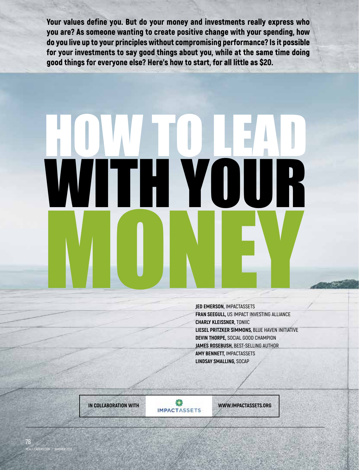Your values define you. But do your money and investments really express who you are? As someone wanting to create positive change with your spending, how do you live up to your principles without compromising performance? Is it possible for your investments to say good things about you, while at the same time doing good things for everyone else? Here's how to start, for all little as \$20.

HOW TO LEAD WITH YOUR MONEY

**JED EMERSON, IMPACTASSETS FRAN SEEGULL, US IMPACT INVESTING ALLIANCE CHARLY KLEISSNER, TONIIC LIESEL PRITZKER SIMMONS, BLUE HAVEN INITIATIVE DEVIN THORPE, SOCIAL GOOD CHAMPION JAMES ROSEBUSH, BEST-SELLING AUTHOR AMY BENNETT, IMPACTASSETS LINDSAY SMALLING, SOCAP**

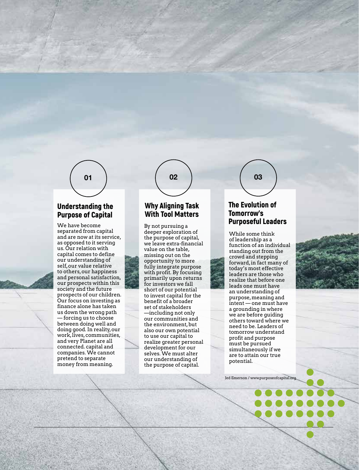#### Understanding the Purpose of Capital

We have become separated from capital and are now at its service, as opposed to it serving us. Our relation with capital comes to define our understanding of self, our value relative to others, our happiness and personal satisfaction, our prospects within this society and the future prospects of our children. Our focus on investing as finance alone has taken us down the wrong path — forcing us to choose between doing well and doing good. In reality, our work, lives, communities, and very Planet are all connected. capital and companies. We cannot pretend to separate money from meaning.

# **01 02 03**

### Why Aligning Task With Tool Matters

By not pursuing a deeper exploration of the purpose of capital, we leave extra-financial value on the table, missing out on the opportunity to more fully integrate purpose with profit. By focusing primarily upon returns for investors we fall short of our potential to invest capital for the benefit of a broader set of stakeholders —including not only our communities and the environment, but also our own potential to use our capital to realize greater personal development for our selves. We must alter our understanding of the purpose of capital.



#### The Evolution of Tomorrow's Purposeful Leaders

While some think of leadership as a function of an individual standing out from the crowd and stepping forward, in fact many of today's most effective leaders are those who realize that before one leads one must have an understanding of purpose, meaning and intent — one must have a grounding in where we are before guiding others toward where we need to be. Leaders of tomorrow understand profit and purpose must be pursued simultaneously if we are to attain our true potential.

Jed Emerson / www.purposeofcapital.org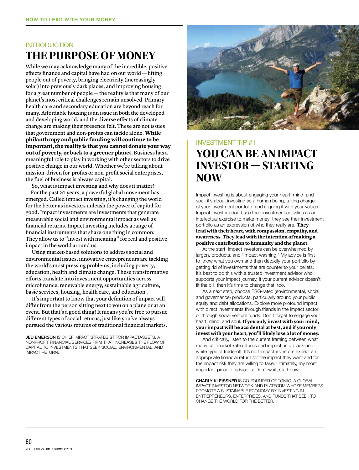### INTRODUCTION **THE PURPOSE OF MONEY**

While we may acknowledge many of the incredible, positive effects finance and capital have had on our world — lifting people out of poverty, bringing electricity (increasingly solar) into previously dark places, and improving housing for a great number of people — the reality is that many of our planet's most critical challenges remain unsolved. Primary health care and secondary education are beyond reach for many. Affordable housing is an issue in both the developed and developing world, and the diverse effects of climate change are making their presence felt. These are not issues that government and non-profits can tackle alone. **While philanthropy and public funding will continue to be important, the reality is that you cannot donate your way out of poverty, or back to a greener planet.** Business has a meaningful role to play in working with other sectors to drive positive change in our world. Whether we're talking about mission-driven for-profits or non-profit social enterprises, the fuel of business is always capital.

 So, what is impact investing and why does it matter? For the past 20 years, a powerful global movement has emerged. Called impact investing, it's changing the world for the better as investors unleash the power of capital for good. Impact investments are investments that generate measurable social and environmental impact as well as financial returns. Impact investing includes a range of financial instruments that share one thing in common: They allow us to "invest with meaning" for real and positive impact in the world around us.

 Using market-based solutions to address social and environmental issues, innovative entrepreneurs are tackling the world's most pressing problems, including poverty, education, health and climate change. These transformative efforts translate into investment opportunities across microfinance, renewable energy, sustainable agriculture, basic services, housing, health care, and education .

 It's important to know that your definition of impact will differ from the person sitting next to you on a plane or at an event. But that's a good thing! It means you're free to pursue different types of social returns, just like you've always pursued the various returns of traditional financial markets.

JED EMERSON IS CHIEF IMPACT STRATEGIST FOR IMPACTASSETS. A NONPROFIT FINANCIAL SERVICES FIRM THAT INCREASES THE FLOW OF CAPITAL TO INVESTMENTS THAT SEEK SOCIAL, ENVIRONMENTAL, AND IMPACT RETURN.



### INVESTMENT TIP #1 **YOU CAN BE AN IMPACT INVESTOR — STARTING NOW**

Impact investing is about engaging your heart, mind, and soul; it's about investing as a human being, taking charge of your investment portfolio, and aligning it with your values. Impact investors don't see their investment activities as an intellectual exercise to make money; they see their investment portfolio as an expression of who they really are. **They lead with their heart, with compassion, empathy, and awareness. They lead with the intention of making a positive contribution to humanity and the planet.**

 At the start, impact investors can be overwhelmed by jargon, products, and "impact washing." My advice is first to know what you own and then detoxify your portfolio by getting rid of investments that are counter to your beliefs. It's best to do this with a trusted investment advisor who supports your impact journey. If your current advisor doesn't fit the bill, then it's time to change that, too.

 As a next step, choose ESG-rated (environmental, social, and governance) products, particularly around your public equity and debt allocations. Explore more profound impact with direct investments through friends in the impact sector or through social venture funds. Don't forget to engage your heart, mind, and soul. **If you only invest with your mind, your impact will be accidental at best, and if you only invest with your heart, you'll likely lose a lot of money.**

 And critically, listen to the current framing between what many call market-rate returns and impact as a black-andwhite type of trade-off. It's not! Impact investors expect an appropriate financial return for the impact they want and for the impact risk they are willing to take. Ultimately, my most important piece of advice is: Don't wait, start now.

CHARLY KLEISSNER IS CO-FOUNDER OF TONIIC, A GLOBAL IMPACT INVESTOR NETWORK AND PLATFORM WHOSE MEMBERS PROMOTE A SUSTAINABLE ECONOMY BY INVESTING IN ENTREPRENEURS, ENTERPRISES, AND FUNDS THAT SEEK TO CHANGE THE WORLD FOR THE BETTER.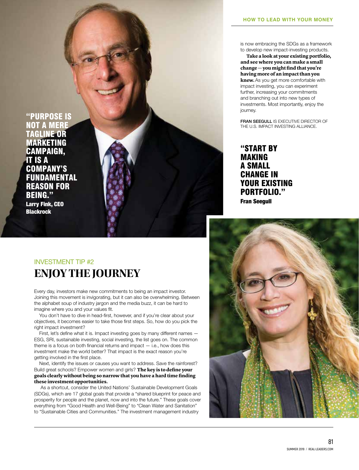"PURPOSE IS NOT A MERE TAGLINE OR MARKETING CAMPAIGN, IT IS A COMPANY'S FUNDAMENTAL REASON FOR BEING."

Larry Fink, CEO Blackrock

### INVESTMENT TIP #2 **ENJOY THE JOURNEY**

Every day, investors make new commitments to being an impact investor. Joining this movement is invigorating, but it can also be overwhelming. Between the alphabet soup of industry jargon and the media buzz, it can be hard to imagine where you and your values fit.

You don't have to dive in head-first, however, and if you're clear about your objectives, it becomes easier to take those first steps. So, how do you pick the right impact investment?

First, let's define what it is. Impact investing goes by many different names — ESG, SRI, sustainable investing, social investing, the list goes on. The common theme is a focus on both financial returns and impact  $-$  i.e., how does this investment make the world better? That impact is the exact reason you're getting involved in the first place.

Next, identify the issues or causes you want to address. Save the rainforest? Build great schools? Empower women and girls? **The key is to define your goals clearly without being so narrow that you have a hard time finding these investment opportunities.**

 As a shortcut, consider the United Nations' Sustainable Development Goals (SDGs), which are 17 global goals that provide a "shared blueprint for peace and prosperity for people and the planet, now and into the future." These goals cover everything from "Good Health and Well-Being" to "Clean Water and Sanitation" to "Sustainable Cities and Communities." The investment management industry

is now embracing the SDGs as a framework to develop new impact-investing products.

 **Take a look at your existing portfolio, and see where you can make a small change — you might find that you're having more of an impact than you knew.** As you get more comfortable with impact investing, you can experiment further, increasing your commitments and branching out into new types of investments. Most importantly, enjoy the journey.

FRAN SEEGULL IS EXECUTIVE DIRECTOR OF THE U.S. IMPACT INVESTING ALLIANCE.

"START BY MAKING A SMALL CHANGE IN YOUR EXISTING PORTFOLIO." Fran Seegull

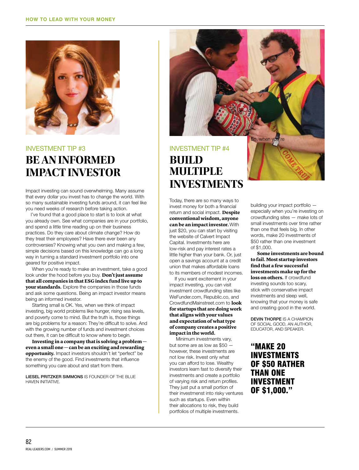

### INVESTMENT TIP #3 **BE AN INFORMED IMPACT INVESTOR**

Impact investing can sound overwhelming. Many assume that every dollar you invest has to change the world. With so many sustainable investing funds around, it can feel like you need weeks of research before taking action.

I've found that a good place to start is to look at what you already own. See what companies are in your portfolio, and spend a little time reading up on their business practices. Do they care about climate change? How do they treat their employees? Have there ever been any controversies? Knowing what you own and making a few, simple decisions based on this knowledge can go a long way in turning a standard investment portfolio into one geared for positive impact.

 When you're ready to make an investment, take a good look under the hood before you buy. **Don't just assume that all companies in that ESG index fund live up to your standards.** Explore the companies in those funds and ask some questions. Being an impact investor means being an informed investor.

 Starting small is OK. Yes, when we think of impact investing, big world problems like hunger, rising sea levels, and poverty come to mind. But the truth is, those things are big problems for a reason: They're difficult to solve. And with the growing number of funds and investment choices out there, it can be difficult to know where to begin.

**Investing in a company that is solving a problem even a small one — can be an exciting and rewarding opportunity.** Impact investors shouldn't let "perfect" be the enemy of the good. Find investments that influence something you care about and start from there.

LIESEL PRITZKER SIMMONS IS FOUNDER OF THE BLUE HAVEN INITIATIVE.

### INVESTMENT TIP #4 **BUILD MULTIPLE INVESTMENTS**

Today, there are so many ways to invest money for both a financial return and social impact. **Despite conventional wisdom, anyone can be an impact investor.** With just \$20, you can start by visiting the website of Calvert Impact Capital. Investments here are low-risk and pay interest rates a little higher than your bank. Or, just open a savings account at a credit union that makes affordable loans to its members of modest incomes.

If you want excitement in your impact investing, you can visit investment crowdfunding sites like WeFunder.com, Republic.co, and CrowdfundMainstreet.com to **look for startups that are doing work that aligns with your values and expectation of what type of company creates a positive impact in the world.**

 Minimum investments vary, but some are as low as \$50 however, these investments are not low risk. Invest only what you can afford to lose. Wealthy investors learn fast to diversify their investments and create a portfolio of varying risk and return profiles. They just put a small portion of their investmenst into risky ventures such as startups. Even within their allocations to risk, they build portfolios of multiple investments.

building your impact portfolio especially when you're investing on crowdfunding sites — make lots of small investments over time rather than one that feels big. In other words, make 20 investments of \$50 rather than one investment  $of$  \$1,000.

So, when you

**Some investments are bound to fail. Most startup investors find that a few successful investments make up for the loss on others.** If crowdfund investing sounds too scary, stick with conservative impact investments and sleep well, knowing that your money is safe and creating good in the world.

DEVIN THORPE IS A CHAMPION OF SOCIAL GOOD, AN AUTHOR, EDUCATOR, AND SPEAKER.

### "MAKE 20 INVESTMENTS OF \$50 RATHER THAN ONE INVESTMENT OF \$1,000."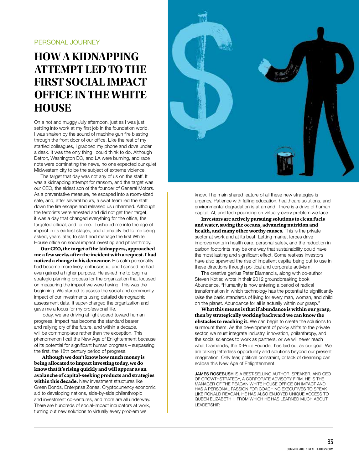#### PERSONAL JOURNEY

### **HOW A KIDNAPPING ATTEMPT LED TO THE FIRST SOCIAL IMPACT OFFICE IN THE WHITE HOUSE**

On a hot and muggy July afternoon, just as I was just settling into work at my first job in the foundation world, I was shaken by the sound of machine gun fire blasting through the front door of our office. Like the rest of my startled colleagues, I grabbed my phone and dove under a desk. It was the only thing I could think to do. Although Detroit, Washington DC, and LA were burning, and race riots were dominating the news, no one expected our quiet Midwestern city to be the subject of extreme violence.

 The target that day was not any of us on the staff. It was a kidnapping attempt for ransom, and the target was our CEO, the eldest son of the founder of General Motors. As a preventative measure, he escaped into a room-sized safe, and, after several hours, a swat team led the staff down the fire escape and released us unharmed. Although the terrorists were arrested and did not get their target, it was a day that changed everything for the office, the targeted official, and for me. It ushered me into the age of impact in its earliest stages, and ultimately led to me being asked, years later, to start and manage the first White House office on social impact investing and philanthropy.

**Our CEO, the target of the kidnappers, approached me a few weeks after the incident with a request. I had noticed a change in his demeanor.** His calm personality had become more lively, enthusiastic, and I sensed he had even gained a higher purpose. He asked me to begin a strategic planning process for the organization that focused on measuring the impact we were having. This was the beginning. We started to assess the social and community impact of our investments using detailed demographic assessment data. It super-charged the organization and gave me a focus for my professional life.

 Today, we are driving at light speed toward human progress. Impact has become the standard bearer and rallying cry of the future, and within a decade, will be commonplace rather than the exception. This phenomenon I call the New Age of Enlightenment because of its potential for significant human progress – surpassing the first, the 18th century period of progress.

 **Although we don't know how much money is being allocated to impact investing today, we do know that it's rising quickly and will appear as an avalanche of capital-seeking products and strategies within this decade.** New investment structures like Green Bonds, Enterprise Zones, Cryptocurrency economic aid to developing nations, side-by-side philanthropic and investment co-ventures, and more are all underway. There are hundreds of social-impact incubators at work, turning out new solutions to virtually every problem we



know. The main shared feature of all these new strategies is urgency. Patience with failing education, healthcare solutions, and environmental degradation is at an end. There is a drive of human capital, AI, and tech pouncing on virtually every problem we face.

**Investors are actively pursuing solutions to clean fuels and water, saving the oceans, advancing nutrition and health, and many other worthy causes.** This is the private sector at work and at its best. Letting market forces drive improvements in health care, personal safety, and the reduction in carbon footprints may be one way that sustainability could have the most lasting and significant effect. Some restless investors have also spawned the rise of impatient capital being put to use in these directions through political and corporate activism.

 The creative genius Peter Diamandis, along with co-author Steven Kotler, wrote in their 2012 groundbreaking book Abundance, "Humanity is now entering a period of radical transformation in which technology has the potential to significantly raise the basic standards of living for every man, woman, and child on the planet. Abundance for all is actually within our grasp."

**What this means is that if abundance is within our grasp, then by strategically working backward we can know the obstacles to reaching it.** We can begin to create the solutions to surmount them. As the development of policy shifts to the private sector, we must integrate industry, innovation, philanthropy, and the social sciences to work as partners, or we will never reach what Diamandis, the X-Prize Founder, has laid out as our goal. We are talking fetterless opportunity and solutions beyond our present imagination. Only fear, political constraint, or lack of dreaming can eclipse this New Age of Enlightenment.

JAMES ROSEBUSH IS A BEST-SELLING AUTHOR, SPEAKER, AND CEO OF GROWTHSTRATEGY, A CORPORATE ADVISORY FIRM. HE IS THE MANAGER OF THE REAGAN WHITE HOUSE OFFICE ON IMPACT AND HAS A PERSONAL PASSION FOR COACHING EXECUTIVES TO SPEAK LIKE RONALD REAGAN. HE HAS ALSO ENJOYED UNIQUE ACCESS TO QUEEN ELIZABETH II, FROM WHICH HE HAS LEARNED MUCH ABOUT LEADERSHIP.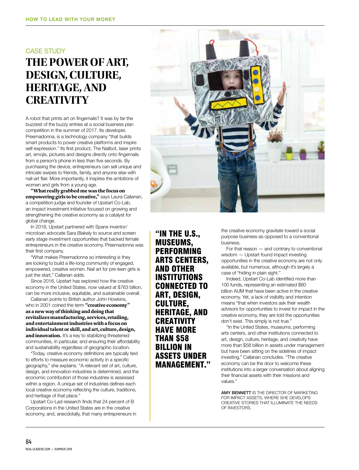#### CASE STUDY

### **THE POWER OF ART, DESIGN, CULTURE, HERITAGE, AND CREATIVITY**

A robot that prints art on fingernails? It was by far the buzziest of the buzzy entries at a social business plan competition in the summer of 2017. Its developer, Preemadonna, is a technology company "that builds smart products to power creative platforms and inspire self-expression." Its first product, The Nailbot, laser prints art, emojis, pictures and designs directly onto fingernails from a person's phone in less than five seconds. By purchasing the device, entrepreneurs can sell unique and intricate swipes to friends, family, and anyone else with nail-art flair. More importantly, it inspires the ambitions of women and girls from a young age.

**"What really grabbed me was the focus on empowering girls to be creative,"** says Laura Callanan, a competition judge and founder of Upstart Co-Lab, an impact investment initiative focused on growing and strengthening the creative economy as a catalyst for global change.

In 2018, Upstart partnered with Spanx inventor/ microloan advocate Sara Blakely to source and screen early stage investment opportunities that backed female entrepreneurs in the creative economy. Preemadonna was their first company.

"What makes Preemadonna so interesting is they are looking to build a life-long community of engaged, empowered, creative women. Nail art for pre-teen girls is just the start," Callanan adds.

Since 2016, Upstart has explored how the creative economy in the United States, now valued at \$763 billion, can be more inclusive, equitable, and sustainable overall.

Callanan points to British author John Howkins, who in 2001 coined the term **"creative economy"** 

**as a new way of thinking and doing that revitalizes manufacturing, services, retailing, and entertainment industries with a focus on individual talent or skill, and art, culture, design,**  and innovation. It's a key to stabilizing threatened communities, in particular, and ensuring their affordability and sustainability regardless of geographic location.

"Today, creative economy definitions are typically tied to efforts to measure economic activity in a specific geography," she explains. "A relevant set of art, culture, design, and innovation industries is determined, and the economic contribution of those industries is assessed within a region. A unique set of industries defines each local creative economy reflecting the culture, traditions, and heritage of that place."

Upstart Co-Lad research finds that 24 percent of B Corporations in the United States are in the creative economy, and, anecdotally, that many entrepreneurs in



"IN THE U.S., MUSEUMS, PERFORMING ARTS CENTERS, AND OTHER INSTITUTIONS CONNECTED TO ART, DESIGN, CULTURE, HERITAGE, AND **CREATIVITY** HAVE MORE THAN \$58 BILLION IN ASSETS UNDER MANAGEMENT." the creative economy gravitate toward a social purpose business as opposed to a conventional business.

For that reason — and contrary to conventional wisdom — Upstart found impact investing opportunities in the creative economy are not only available, but numerous, although it's largely a case of "hiding in plain sight."

Indeed, Upstart Co-Lab identified more than 100 funds, representing an estimated \$60 billion AUM that have been active in the creative economy. Yet, a lack of visibility and intention means "that when investors ask their wealth advisors for opportunities to invest for impact in the creative economy, they are told the opportunities don't exist. This simply is not true."

"In the United States, museums, performing arts centers, and other institutions connected to art, design, culture, heritage, and creativity have more than \$58 billion in assets under management but have been sitting on the sidelines of impact investing," Callanan concludes. "The creative economy can be the door to welcome these institutions into a larger conversation about aligning their financial assets with their missions and values."

AMY BENNETT IS THE DIRECTOR OF MARKETING FOR IMPACT ASSETS, WHERE SHE DEVELOPS CREATIVE STORIES THAT ILLUMINATE THE NEEDS OF INVESTORS.